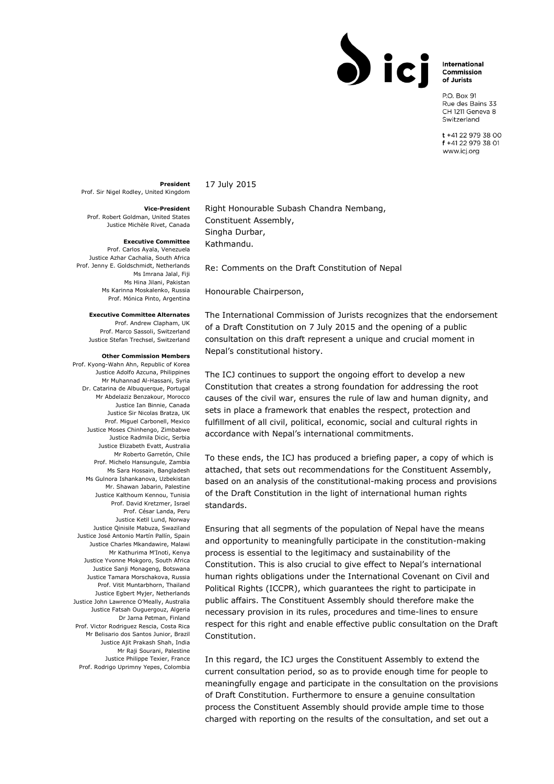International Commission of Jurists

P.O. Box 91 Rue des Bains 33 CH 1211 Geneva 8 Switzerland

 $t + 41 22 979 38 00$ f +41 22 979 38 01 www.icj.org

## **President**

Prof. Sir Nigel Rodley, United Kingdom

**Vice-President**

Prof. Robert Goldman, United States Justice Michèle Rivet, Canada

## **Executive Committee**

Prof. Carlos Ayala, Venezuela Justice Azhar Cachalia, South Africa Prof. Jenny E. Goldschmidt, Netherlands Ms Imrana Jalal, Fiji Ms Hina Jilani, Pakistan Ms Karinna Moskalenko, Russia Prof. Mónica Pinto, Argentina

## **Executive Committee Alternates**

Prof. Andrew Clapham, UK Prof. Marco Sassoli, Switzerland Justice Stefan Trechsel, Switzerland

## **Other Commission Members**

Prof. Kyong-Wahn Ahn, Republic of Korea Justice Adolfo Azcuna, Philippines Mr Muhannad Al-Hassani, Syria Dr. Catarina de Albuquerque, Portugal Mr Abdelaziz Benzakour, Morocco Justice Ian Binnie, Canada Justice Sir Nicolas Bratza, UK Prof. Miguel Carbonell, Mexico Justice Moses Chinhengo, Zimbabwe Justice Radmila Dicic, Serbia Justice Elizabeth Evatt, Australia Mr Roberto Garretón, Chile Prof. Michelo Hansungule, Zambia Ms Sara Hossain, Bangladesh Ms Gulnora Ishankanova, Uzbekistan Mr. Shawan Jabarin, Palestine Justice Kalthoum Kennou, Tunisia Prof. David Kretzmer, Israel Prof. César Landa, Peru Justice Ketil Lund, Norway Justice Qinisile Mabuza, Swaziland Justice José Antonio Martín Pallín, Spain Justice Charles Mkandawire, Malawi Mr Kathurima M'Inoti, Kenya Justice Yvonne Mokgoro, South Africa Justice Sanji Monageng, Botswana Justice Tamara Morschakova, Russia Prof. Vitit Muntarbhorn, Thailand Justice Egbert Myjer, Netherlands Justice John Lawrence O'Meally, Australia Justice Fatsah Ouguergouz, Algeria Dr Jarna Petman, Finland Prof. Victor Rodriguez Rescia, Costa Rica Mr Belisario dos Santos Junior, Brazil Justice Ajit Prakash Shah, India Mr Raji Sourani, Palestine Justice Philippe Texier, France Prof. Rodrigo Uprimny Yepes, Colombia

Right Honourable Subash Chandra Nembang, Constituent Assembly, Singha Durbar, Kathmandu.

Re: Comments on the Draft Constitution of Nepal

Honourable Chairperson,

17 July 2015

The International Commission of Jurists recognizes that the endorsement of a Draft Constitution on 7 July 2015 and the opening of a public consultation on this draft represent a unique and crucial moment in Nepal's constitutional history.

The ICJ continues to support the ongoing effort to develop a new Constitution that creates a strong foundation for addressing the root causes of the civil war, ensures the rule of law and human dignity, and sets in place a framework that enables the respect, protection and fulfillment of all civil, political, economic, social and cultural rights in accordance with Nepal's international commitments.

To these ends, the ICJ has produced a briefing paper, a copy of which is attached, that sets out recommendations for the Constituent Assembly, based on an analysis of the constitutional-making process and provisions of the Draft Constitution in the light of international human rights standards.

Ensuring that all segments of the population of Nepal have the means and opportunity to meaningfully participate in the constitution-making process is essential to the legitimacy and sustainability of the Constitution. This is also crucial to give effect to Nepal's international human rights obligations under the International Covenant on Civil and Political Rights (ICCPR), which guarantees the right to participate in public affairs. The Constituent Assembly should therefore make the necessary provision in its rules, procedures and time-lines to ensure respect for this right and enable effective public consultation on the Draft Constitution.

In this regard, the ICJ urges the Constituent Assembly to extend the current consultation period, so as to provide enough time for people to meaningfully engage and participate in the consultation on the provisions of Draft Constitution. Furthermore to ensure a genuine consultation process the Constituent Assembly should provide ample time to those charged with reporting on the results of the consultation, and set out a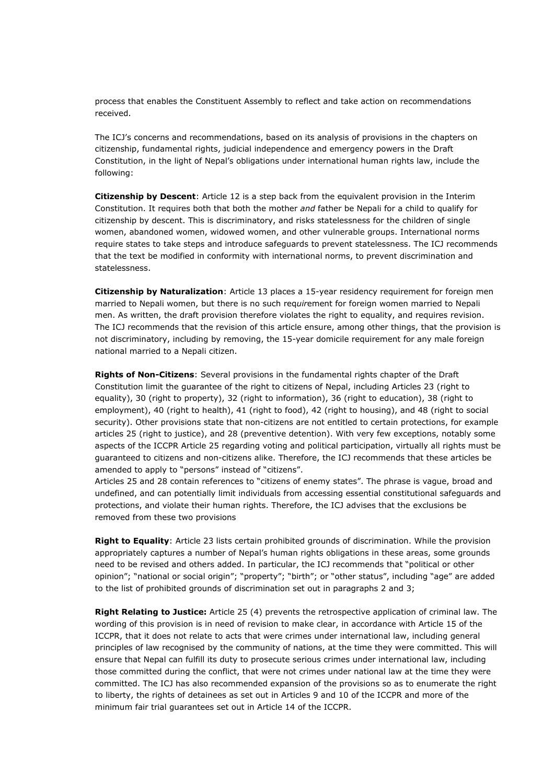process that enables the Constituent Assembly to reflect and take action on recommendations received.

The ICJ's concerns and recommendations, based on its analysis of provisions in the chapters on citizenship, fundamental rights, judicial independence and emergency powers in the Draft Constitution, in the light of Nepal's obligations under international human rights law, include the following:

**Citizenship by Descent**: Article 12 is a step back from the equivalent provision in the Interim Constitution. It requires both that both the mother *and* father be Nepali for a child to qualify for citizenship by descent. This is discriminatory, and risks statelessness for the children of single women, abandoned women, widowed women, and other vulnerable groups. International norms require states to take steps and introduce safeguards to prevent statelessness. The ICJ recommends that the text be modified in conformity with international norms, to prevent discrimination and statelessness.

**Citizenship by Naturalization**: Article 13 places a 15-year residency requirement for foreign men married to Nepali women, but there is no such req*uir*ement for foreign women married to Nepali men. As written, the draft provision therefore violates the right to equality, and requires revision. The ICJ recommends that the revision of this article ensure, among other things, that the provision is not discriminatory, including by removing, the 15-year domicile requirement for any male foreign national married to a Nepali citizen.

**Rights of Non-Citizens**: Several provisions in the fundamental rights chapter of the Draft Constitution limit the guarantee of the right to citizens of Nepal, including Articles 23 (right to equality), 30 (right to property), 32 (right to information), 36 (right to education), 38 (right to employment), 40 (right to health), 41 (right to food), 42 (right to housing), and 48 (right to social security). Other provisions state that non-citizens are not entitled to certain protections, for example articles 25 (right to justice), and 28 (preventive detention). With very few exceptions, notably some aspects of the ICCPR Article 25 regarding voting and political participation, virtually all rights must be guaranteed to citizens and non-citizens alike. Therefore, the ICJ recommends that these articles be amended to apply to "persons" instead of "citizens".

Articles 25 and 28 contain references to "citizens of enemy states". The phrase is vague, broad and undefined, and can potentially limit individuals from accessing essential constitutional safeguards and protections, and violate their human rights. Therefore, the ICJ advises that the exclusions be removed from these two provisions

**Right to Equality**: Article 23 lists certain prohibited grounds of discrimination. While the provision appropriately captures a number of Nepal's human rights obligations in these areas, some grounds need to be revised and others added. In particular, the ICJ recommends that "political or other opinion"; "national or social origin"; "property"; "birth"; or "other status", including "age" are added to the list of prohibited grounds of discrimination set out in paragraphs 2 and 3;

**Right Relating to Justice:** Article 25 (4) prevents the retrospective application of criminal law. The wording of this provision is in need of revision to make clear, in accordance with Article 15 of the ICCPR, that it does not relate to acts that were crimes under international law, including general principles of law recognised by the community of nations, at the time they were committed. This will ensure that Nepal can fulfill its duty to prosecute serious crimes under international law, including those committed during the conflict, that were not crimes under national law at the time they were committed. The ICJ has also recommended expansion of the provisions so as to enumerate the right to liberty, the rights of detainees as set out in Articles 9 and 10 of the ICCPR and more of the minimum fair trial guarantees set out in Article 14 of the ICCPR.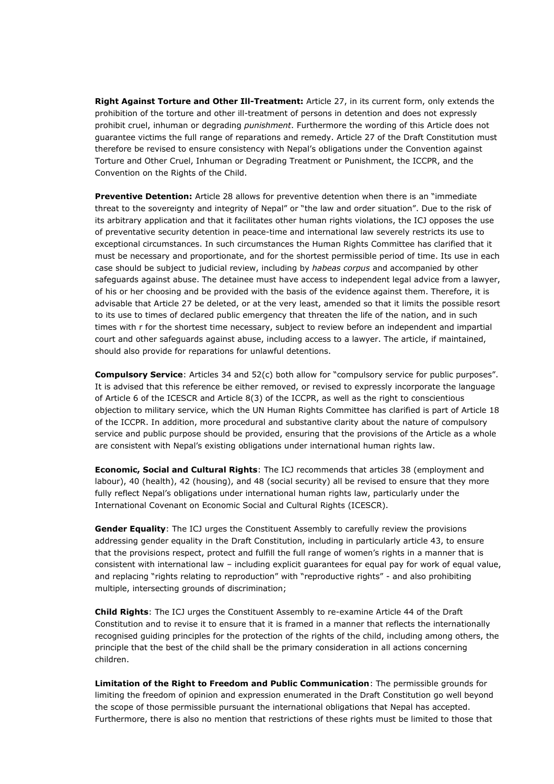**Right Against Torture and Other Ill-Treatment:** Article 27, in its current form, only extends the prohibition of the torture and other ill-treatment of persons in detention and does not expressly prohibit cruel, inhuman or degrading *punishment*. Furthermore the wording of this Article does not guarantee victims the full range of reparations and remedy. Article 27 of the Draft Constitution must therefore be revised to ensure consistency with Nepal's obligations under the Convention against Torture and Other Cruel, Inhuman or Degrading Treatment or Punishment, the ICCPR, and the Convention on the Rights of the Child.

**Preventive Detention:** Article 28 allows for preventive detention when there is an "immediate threat to the sovereignty and integrity of Nepal" or "the law and order situation". Due to the risk of its arbitrary application and that it facilitates other human rights violations, the ICJ opposes the use of preventative security detention in peace-time and international law severely restricts its use to exceptional circumstances. In such circumstances the Human Rights Committee has clarified that it must be necessary and proportionate, and for the shortest permissible period of time. Its use in each case should be subject to judicial review, including by *habeas corpus* and accompanied by other safeguards against abuse. The detainee must have access to independent legal advice from a lawyer, of his or her choosing and be provided with the basis of the evidence against them. Therefore, it is advisable that Article 27 be deleted, or at the very least, amended so that it limits the possible resort to its use to times of declared public emergency that threaten the life of the nation, and in such times with r for the shortest time necessary, subject to review before an independent and impartial court and other safeguards against abuse, including access to a lawyer. The article, if maintained, should also provide for reparations for unlawful detentions.

**Compulsory Service**: Articles 34 and 52(c) both allow for "compulsory service for public purposes". It is advised that this reference be either removed, or revised to expressly incorporate the language of Article 6 of the ICESCR and Article 8(3) of the ICCPR, as well as the right to conscientious objection to military service, which the UN Human Rights Committee has clarified is part of Article 18 of the ICCPR. In addition, more procedural and substantive clarity about the nature of compulsory service and public purpose should be provided, ensuring that the provisions of the Article as a whole are consistent with Nepal's existing obligations under international human rights law.

**Economic, Social and Cultural Rights**: The ICJ recommends that articles 38 (employment and labour), 40 (health), 42 (housing), and 48 (social security) all be revised to ensure that they more fully reflect Nepal's obligations under international human rights law, particularly under the International Covenant on Economic Social and Cultural Rights (ICESCR).

**Gender Equality**: The ICJ urges the Constituent Assembly to carefully review the provisions addressing gender equality in the Draft Constitution, including in particularly article 43, to ensure that the provisions respect, protect and fulfill the full range of women's rights in a manner that is consistent with international law – including explicit guarantees for equal pay for work of equal value, and replacing "rights relating to reproduction" with "reproductive rights" - and also prohibiting multiple, intersecting grounds of discrimination;

**Child Rights**: The ICJ urges the Constituent Assembly to re-examine Article 44 of the Draft Constitution and to revise it to ensure that it is framed in a manner that reflects the internationally recognised guiding principles for the protection of the rights of the child, including among others, the principle that the best of the child shall be the primary consideration in all actions concerning children.

**Limitation of the Right to Freedom and Public Communication**: The permissible grounds for limiting the freedom of opinion and expression enumerated in the Draft Constitution go well beyond the scope of those permissible pursuant the international obligations that Nepal has accepted. Furthermore, there is also no mention that restrictions of these rights must be limited to those that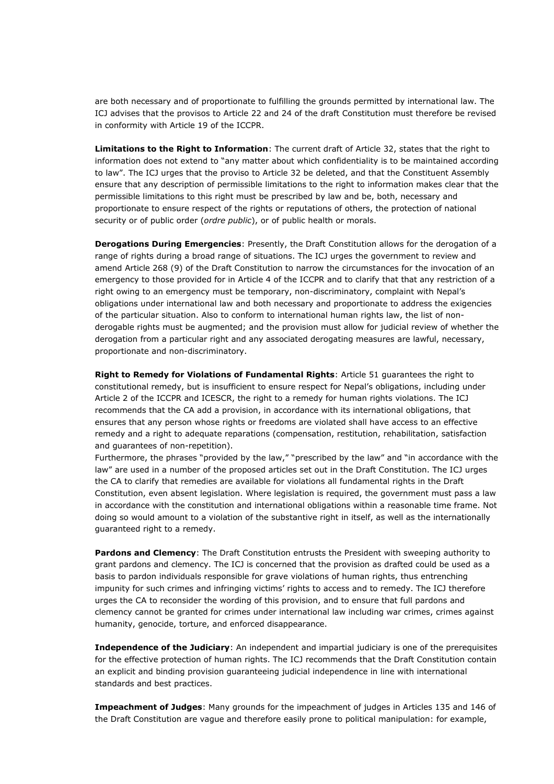are both necessary and of proportionate to fulfilling the grounds permitted by international law. The ICJ advises that the provisos to Article 22 and 24 of the draft Constitution must therefore be revised in conformity with Article 19 of the ICCPR.

**Limitations to the Right to Information**: The current draft of Article 32, states that the right to information does not extend to "any matter about which confidentiality is to be maintained according to law". The ICJ urges that the proviso to Article 32 be deleted, and that the Constituent Assembly ensure that any description of permissible limitations to the right to information makes clear that the permissible limitations to this right must be prescribed by law and be, both, necessary and proportionate to ensure respect of the rights or reputations of others, the protection of national security or of public order (*ordre public*), or of public health or morals.

**Derogations During Emergencies**: Presently, the Draft Constitution allows for the derogation of a range of rights during a broad range of situations. The ICJ urges the government to review and amend Article 268 (9) of the Draft Constitution to narrow the circumstances for the invocation of an emergency to those provided for in Article 4 of the ICCPR and to clarify that that any restriction of a right owing to an emergency must be temporary, non-discriminatory, complaint with Nepal's obligations under international law and both necessary and proportionate to address the exigencies of the particular situation. Also to conform to international human rights law, the list of nonderogable rights must be augmented; and the provision must allow for judicial review of whether the derogation from a particular right and any associated derogating measures are lawful, necessary, proportionate and non-discriminatory.

**Right to Remedy for Violations of Fundamental Rights**: Article 51 guarantees the right to constitutional remedy, but is insufficient to ensure respect for Nepal's obligations, including under Article 2 of the ICCPR and ICESCR, the right to a remedy for human rights violations. The ICJ recommends that the CA add a provision, in accordance with its international obligations, that ensures that any person whose rights or freedoms are violated shall have access to an effective remedy and a right to adequate reparations (compensation, restitution, rehabilitation, satisfaction and guarantees of non-repetition).

Furthermore, the phrases "provided by the law," "prescribed by the law" and "in accordance with the law" are used in a number of the proposed articles set out in the Draft Constitution. The ICJ urges the CA to clarify that remedies are available for violations all fundamental rights in the Draft Constitution, even absent legislation. Where legislation is required, the government must pass a law in accordance with the constitution and international obligations within a reasonable time frame. Not doing so would amount to a violation of the substantive right in itself, as well as the internationally guaranteed right to a remedy.

**Pardons and Clemency:** The Draft Constitution entrusts the President with sweeping authority to grant pardons and clemency. The ICJ is concerned that the provision as drafted could be used as a basis to pardon individuals responsible for grave violations of human rights, thus entrenching impunity for such crimes and infringing victims' rights to access and to remedy. The ICJ therefore urges the CA to reconsider the wording of this provision, and to ensure that full pardons and clemency cannot be granted for crimes under international law including war crimes, crimes against humanity, genocide, torture, and enforced disappearance.

**Independence of the Judiciary**: An independent and impartial judiciary is one of the prerequisites for the effective protection of human rights. The ICJ recommends that the Draft Constitution contain an explicit and binding provision guaranteeing judicial independence in line with international standards and best practices.

**Impeachment of Judges**: Many grounds for the impeachment of judges in Articles 135 and 146 of the Draft Constitution are vague and therefore easily prone to political manipulation: for example,